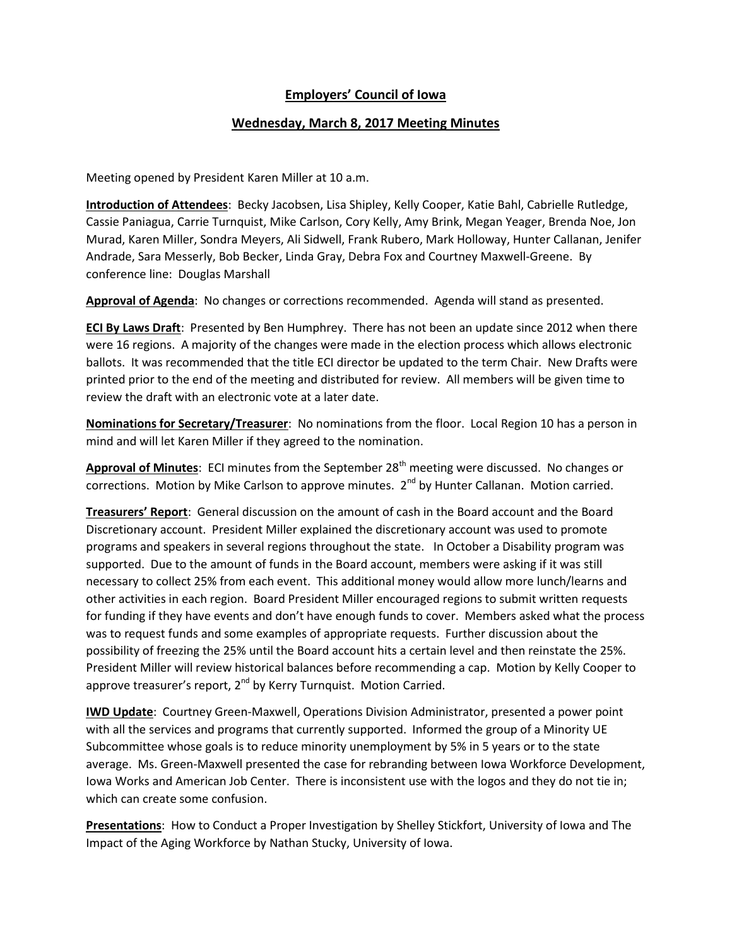## **Employers' Council of Iowa**

## **Wednesday, March 8, 2017 Meeting Minutes**

Meeting opened by President Karen Miller at 10 a.m.

**Introduction of Attendees**: Becky Jacobsen, Lisa Shipley, Kelly Cooper, Katie Bahl, Cabrielle Rutledge, Cassie Paniagua, Carrie Turnquist, Mike Carlson, Cory Kelly, Amy Brink, Megan Yeager, Brenda Noe, Jon Murad, Karen Miller, Sondra Meyers, Ali Sidwell, Frank Rubero, Mark Holloway, Hunter Callanan, Jenifer Andrade, Sara Messerly, Bob Becker, Linda Gray, Debra Fox and Courtney Maxwell-Greene. By conference line: Douglas Marshall

**Approval of Agenda**: No changes or corrections recommended. Agenda will stand as presented.

**ECI By Laws Draft**: Presented by Ben Humphrey. There has not been an update since 2012 when there were 16 regions. A majority of the changes were made in the election process which allows electronic ballots. It was recommended that the title ECI director be updated to the term Chair. New Drafts were printed prior to the end of the meeting and distributed for review. All members will be given time to review the draft with an electronic vote at a later date.

**Nominations for Secretary/Treasurer**: No nominations from the floor. Local Region 10 has a person in mind and will let Karen Miller if they agreed to the nomination.

Approval of Minutes: ECI minutes from the September 28<sup>th</sup> meeting were discussed. No changes or corrections. Motion by Mike Carlson to approve minutes. 2<sup>nd</sup> by Hunter Callanan. Motion carried.

**Treasurers' Report**: General discussion on the amount of cash in the Board account and the Board Discretionary account. President Miller explained the discretionary account was used to promote programs and speakers in several regions throughout the state. In October a Disability program was supported. Due to the amount of funds in the Board account, members were asking if it was still necessary to collect 25% from each event. This additional money would allow more lunch/learns and other activities in each region. Board President Miller encouraged regions to submit written requests for funding if they have events and don't have enough funds to cover. Members asked what the process was to request funds and some examples of appropriate requests. Further discussion about the possibility of freezing the 25% until the Board account hits a certain level and then reinstate the 25%. President Miller will review historical balances before recommending a cap. Motion by Kelly Cooper to approve treasurer's report,  $2^{nd}$  by Kerry Turnquist. Motion Carried.

**IWD Update**: Courtney Green-Maxwell, Operations Division Administrator, presented a power point with all the services and programs that currently supported. Informed the group of a Minority UE Subcommittee whose goals is to reduce minority unemployment by 5% in 5 years or to the state average. Ms. Green-Maxwell presented the case for rebranding between Iowa Workforce Development, Iowa Works and American Job Center. There is inconsistent use with the logos and they do not tie in; which can create some confusion.

**Presentations**: How to Conduct a Proper Investigation by Shelley Stickfort, University of Iowa and The Impact of the Aging Workforce by Nathan Stucky, University of Iowa.